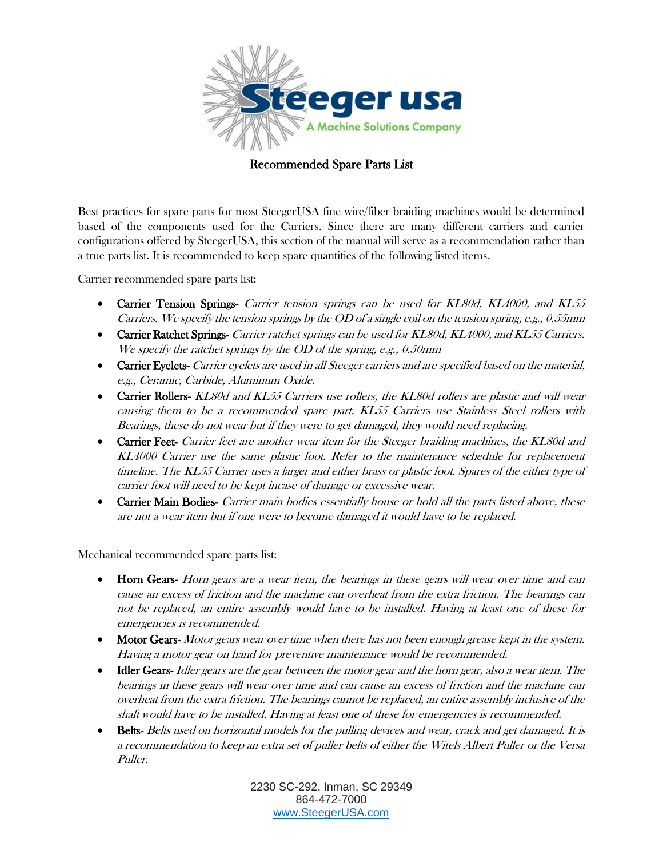

## Recommended Spare Parts List

Best practices for spare parts for most SteegerUSA fine wire/fiber braiding machines would be determined based of the components used for the Carriers. Since there are many different carriers and carrier configurations offered by SteegerUSA, this section of the manual will serve as a recommendation rather than a true parts list. It is recommended to keep spare quantities of the following listed items.

Carrier recommended spare parts list:

- Carrier Tension Springs- Carrier tension springs can be used for KL80d, KL4000, and KL55 Carriers. We specify the tension springs by the OD of a single coil on the tension spring, e.g., 0.55mm
- Carrier Ratchet Springs- Carrier ratchet springs can be used for KL80d, KL4000, and KL55 Carriers. We specify the ratchet springs by the OD of the spring, e.g., 0.50mm
- Carrier Eyelets- Carrier eyelets are used in all Steeger carriers and are specified based on the material, e.g., Ceramic, Carbide, Aluminum Oxide.
- Carrier Rollers- KL80d and KL55 Carriers use rollers, the KL80d rollers are plastic and will wear causing them to be a recommended spare part. KL55 Carriers use Stainless Steel rollers with Bearings, these do not wear but if they were to get damaged, they would need replacing.
- Carrier Feet- Carrier feet are another wear item for the Steeger braiding machines, the KL80d and KL4000 Carrier use the same plastic foot. Refer to the maintenance schedule for replacement timeline. The KL55 Carrier uses a larger and either brass or plastic foot. Spares of the either type of carrier foot will need to be kept incase of damage or excessive wear.
- **Carrier Main Bodies-** Carrier main bodies essentially house or hold all the parts listed above, these are not a wear item but if one were to become damaged it would have to be replaced.

Mechanical recommended spare parts list:

- Horn Gears- Horn gears are a wear item, the bearings in these gears will wear over time and can cause an excess of friction and the machine can overheat from the extra friction. The bearings can not be replaced, an entire assembly would have to be installed. Having at least one of these for emergencies is recommended.
- Motor Gears-Motor gears wear over time when there has not been enough grease kept in the system. Having a motor gear on hand for preventive maintenance would be recommended.
- Idler Gears- Idler gears are the gear between the motor gear and the horn gear, also a wear item. The bearings in these gears will wear over time and can cause an excess of friction and the machine can overheat from the extra friction. The bearings cannot be replaced, an entire assembly inclusive of the shaft would have to be installed. Having at least one of these for emergencies is recommended.
- Belts- Belts used on horizontal models for the pulling devices and wear, crack and get damaged. It is a recommendation to keep an extra set of puller belts of either the Witels Albert Puller or the Versa Puller.

2230 SC-292, Inman, SC 29349 864-472-7000 [www.SteegerUSA.com](http://www.steegerusa.com/)